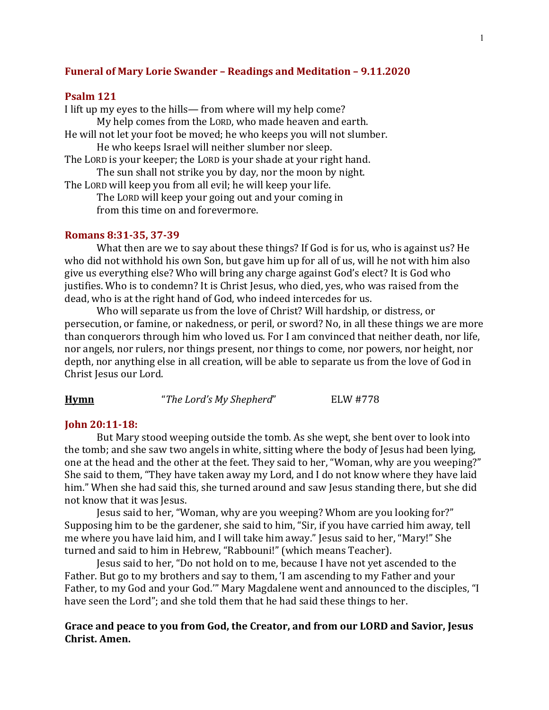### **Funeral of Mary Lorie Swander - Readings and Meditation - 9.11.2020**

#### **Psalm 121**

I lift up my eyes to the hills— from where will my help come? My help comes from the LORD, who made heaven and earth. He will not let your foot be moved; he who keeps you will not slumber. He who keeps Israel will neither slumber nor sleep. The LORD is your keeper; the LORD is your shade at your right hand. The sun shall not strike you by day, nor the moon by night.

The LORD will keep you from all evil; he will keep your life.

The LORD will keep your going out and your coming in from this time on and forevermore.

#### **Romans 8:31-35, 37-39**

What then are we to say about these things? If God is for us, who is against us? He who did not withhold his own Son, but gave him up for all of us, will he not with him also give us everything else? Who will bring any charge against God's elect? It is God who justifies. Who is to condemn? It is Christ Jesus, who died, yes, who was raised from the dead, who is at the right hand of God, who indeed intercedes for us.

Who will separate us from the love of Christ? Will hardship, or distress, or persecution, or famine, or nakedness, or peril, or sword? No, in all these things we are more than conquerors through him who loved us. For I am convinced that neither death, nor life, nor angels, nor rulers, nor things present, nor things to come, nor powers, nor height, nor depth, nor anything else in all creation, will be able to separate us from the love of God in Christ Jesus our Lord.

| Hymn | "The Lord's My Shepherd" | ELW #778 |
|------|--------------------------|----------|
|------|--------------------------|----------|

## **John 20:11-18:**

But Mary stood weeping outside the tomb. As she wept, she bent over to look into the tomb; and she saw two angels in white, sitting where the body of Jesus had been lying, one at the head and the other at the feet. They said to her, "Woman, why are you weeping?" She said to them, "They have taken away my Lord, and I do not know where they have laid him." When she had said this, she turned around and saw Jesus standing there, but she did not know that it was Jesus.

Jesus said to her, "Woman, why are you weeping? Whom are you looking for?" Supposing him to be the gardener, she said to him, "Sir, if you have carried him away, tell me where you have laid him, and I will take him away." Jesus said to her, "Mary!" She turned and said to him in Hebrew, "Rabbouni!" (which means Teacher).

Jesus said to her, "Do not hold on to me, because I have not yet ascended to the Father. But go to my brothers and say to them, 'I am ascending to my Father and your Father, to my God and your God." Mary Magdalene went and announced to the disciples, "I have seen the Lord"; and she told them that he had said these things to her.

# Grace and peace to you from God, the Creator, and from our LORD and Savior, Jesus **Christ. Amen.**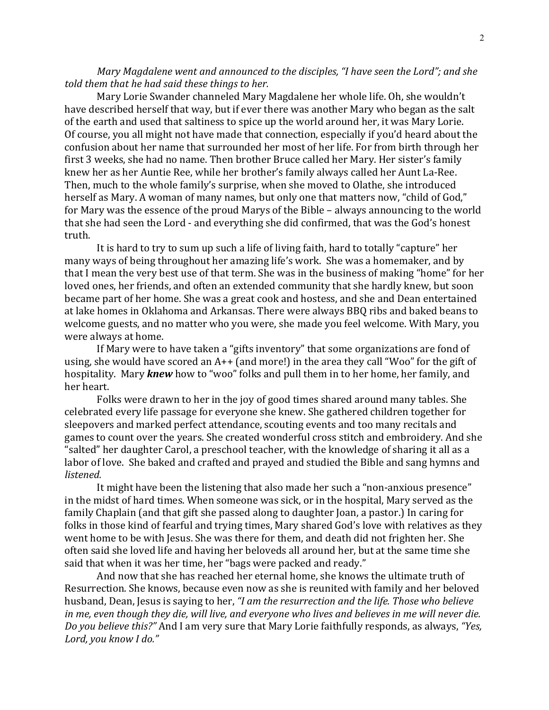*Mary Magdalene went and announced to the disciples, "I have seen the Lord"; and she* told them that he had said these things to her.

Mary Lorie Swander channeled Mary Magdalene her whole life. Oh, she wouldn't have described herself that way, but if ever there was another Mary who began as the salt of the earth and used that saltiness to spice up the world around her, it was Mary Lorie. Of course, you all might not have made that connection, especially if you'd heard about the confusion about her name that surrounded her most of her life. For from birth through her first 3 weeks, she had no name. Then brother Bruce called her Mary. Her sister's family knew her as her Auntie Ree, while her brother's family always called her Aunt La-Ree. Then, much to the whole family's surprise, when she moved to Olathe, she introduced herself as Mary. A woman of many names, but only one that matters now, "child of God," for Mary was the essence of the proud Marys of the Bible – always announcing to the world that she had seen the Lord - and everything she did confirmed, that was the God's honest truth.

It is hard to try to sum up such a life of living faith, hard to totally "capture" her many ways of being throughout her amazing life's work. She was a homemaker, and by that I mean the very best use of that term. She was in the business of making "home" for her loved ones, her friends, and often an extended community that she hardly knew, but soon became part of her home. She was a great cook and hostess, and she and Dean entertained at lake homes in Oklahoma and Arkansas. There were always BBQ ribs and baked beans to welcome guests, and no matter who you were, she made you feel welcome. With Mary, you were always at home.

If Mary were to have taken a "gifts inventory" that some organizations are fond of using, she would have scored an  $A++$  (and more!) in the area they call "Woo" for the gift of hospitality. Mary *knew* how to "woo" folks and pull them in to her home, her family, and her heart.

Folks were drawn to her in the joy of good times shared around many tables. She celebrated every life passage for everyone she knew. She gathered children together for sleepovers and marked perfect attendance, scouting events and too many recitals and games to count over the years. She created wonderful cross stitch and embroidery. And she "salted" her daughter Carol, a preschool teacher, with the knowledge of sharing it all as a labor of love. She baked and crafted and prayed and studied the Bible and sang hymns and *listened.*

It might have been the listening that also made her such a "non-anxious presence" in the midst of hard times. When someone was sick, or in the hospital, Mary served as the family Chaplain (and that gift she passed along to daughter Joan, a pastor.) In caring for folks in those kind of fearful and trying times, Mary shared God's love with relatives as they went home to be with Jesus. She was there for them, and death did not frighten her. She often said she loved life and having her beloveds all around her, but at the same time she said that when it was her time, her "bags were packed and ready."

And now that she has reached her eternal home, she knows the ultimate truth of Resurrection. She knows, because even now as she is reunited with family and her beloved husband, Dean, Jesus is saying to her, *"I am the resurrection and the life. Those who believe in* me, even though they die, will live, and everyone who lives and believes in me will never die. *Do you believe this?"* And I am very sure that Mary Lorie faithfully responds, as always, "Yes, Lord, you know I do."